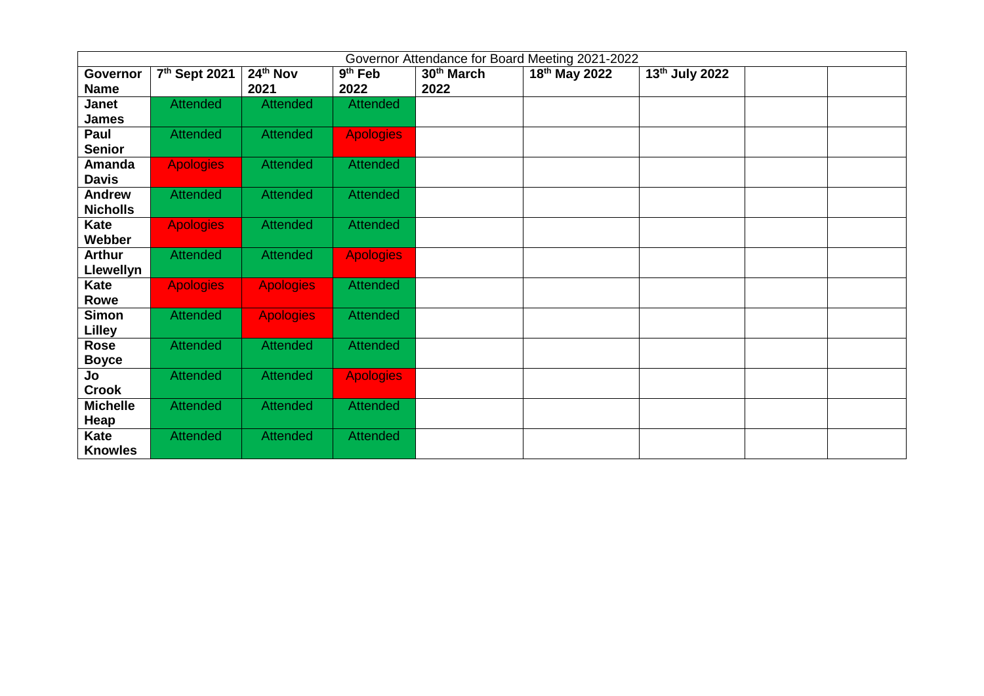|                  | Governor Attendance for Board Meeting 2021-2022 |                  |                     |                        |               |                |  |  |
|------------------|-------------------------------------------------|------------------|---------------------|------------------------|---------------|----------------|--|--|
| Governor         | 7th Sept 2021                                   | 24th Nov         | 9 <sup>th</sup> Feb | 30 <sup>th</sup> March | 18th May 2022 | 13th July 2022 |  |  |
| <b>Name</b>      |                                                 | 2021             | 2022                | 2022                   |               |                |  |  |
| Janet            | <b>Attended</b>                                 | <b>Attended</b>  | <b>Attended</b>     |                        |               |                |  |  |
| <b>James</b>     |                                                 |                  |                     |                        |               |                |  |  |
| Paul             | <b>Attended</b>                                 | <b>Attended</b>  | <b>Apologies</b>    |                        |               |                |  |  |
| <b>Senior</b>    |                                                 |                  |                     |                        |               |                |  |  |
| Amanda           | <b>Apologies</b>                                | <b>Attended</b>  | <b>Attended</b>     |                        |               |                |  |  |
| <b>Davis</b>     |                                                 |                  |                     |                        |               |                |  |  |
| <b>Andrew</b>    | <b>Attended</b>                                 | <b>Attended</b>  | <b>Attended</b>     |                        |               |                |  |  |
| <b>Nicholls</b>  |                                                 |                  |                     |                        |               |                |  |  |
| Kate             | <b>Apologies</b>                                | <b>Attended</b>  | <b>Attended</b>     |                        |               |                |  |  |
| Webber           |                                                 |                  |                     |                        |               |                |  |  |
| <b>Arthur</b>    | <b>Attended</b>                                 | <b>Attended</b>  | <b>Apologies</b>    |                        |               |                |  |  |
| <b>Llewellyn</b> |                                                 |                  |                     |                        |               |                |  |  |
| Kate             | <b>Apologies</b>                                | <b>Apologies</b> | <b>Attended</b>     |                        |               |                |  |  |
| Rowe             |                                                 |                  |                     |                        |               |                |  |  |
| <b>Simon</b>     | <b>Attended</b>                                 | <b>Apologies</b> | <b>Attended</b>     |                        |               |                |  |  |
| <b>Lilley</b>    |                                                 |                  |                     |                        |               |                |  |  |
| <b>Rose</b>      | <b>Attended</b>                                 | <b>Attended</b>  | <b>Attended</b>     |                        |               |                |  |  |
| <b>Boyce</b>     |                                                 |                  |                     |                        |               |                |  |  |
| Jo               | <b>Attended</b>                                 | <b>Attended</b>  | <b>Apologies</b>    |                        |               |                |  |  |
| <b>Crook</b>     |                                                 |                  |                     |                        |               |                |  |  |
| <b>Michelle</b>  | <b>Attended</b>                                 | <b>Attended</b>  | <b>Attended</b>     |                        |               |                |  |  |
| Heap             |                                                 |                  |                     |                        |               |                |  |  |
| Kate             | <b>Attended</b>                                 | <b>Attended</b>  | <b>Attended</b>     |                        |               |                |  |  |
| <b>Knowles</b>   |                                                 |                  |                     |                        |               |                |  |  |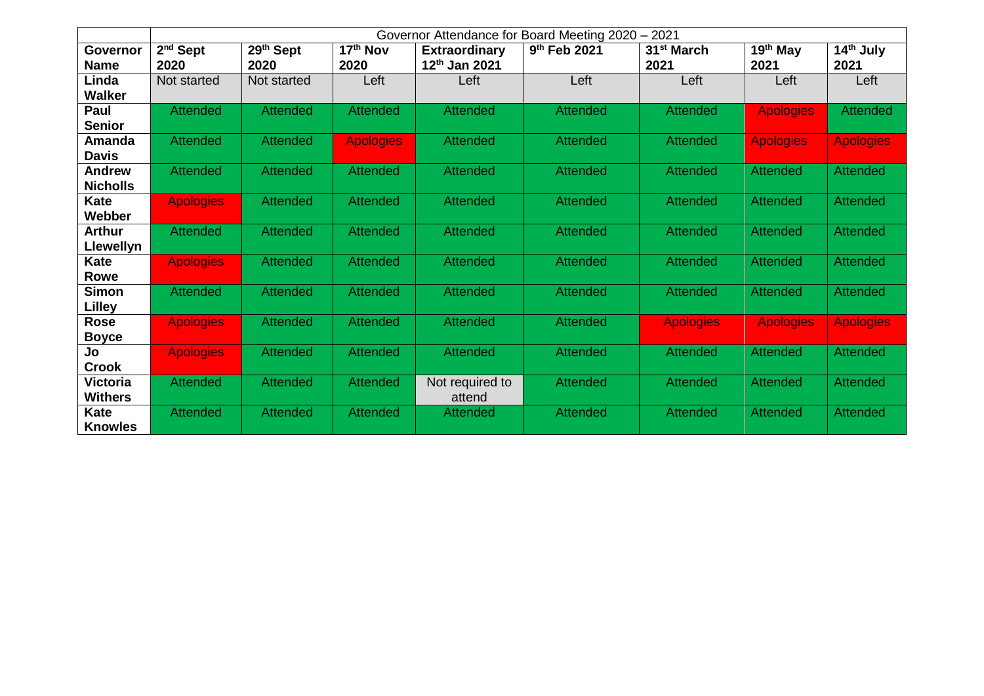|                  | 2021<br>Governor Attendance for Board Meeting 2020 - |                 |                  |                      |                          |                        |                  |                       |  |
|------------------|------------------------------------------------------|-----------------|------------------|----------------------|--------------------------|------------------------|------------------|-----------------------|--|
| Governor         | $2nd$ Sept                                           | 29th Sept       | $17th$ Nov       | <b>Extraordinary</b> | 9 <sup>th</sup> Feb 2021 | 31 <sup>st</sup> March | $19th$ May       | 14 <sup>th</sup> July |  |
| <b>Name</b>      | 2020                                                 | 2020            | 2020             | 12th Jan 2021        |                          | 2021                   | 2021             | 2021                  |  |
| Linda            | Not started                                          | Not started     | Left             | Left                 | Left                     | Left                   | Left             | Left                  |  |
| <b>Walker</b>    |                                                      |                 |                  |                      |                          |                        |                  |                       |  |
| Paul             | <b>Attended</b>                                      | <b>Attended</b> | <b>Attended</b>  | <b>Attended</b>      | <b>Attended</b>          | <b>Attended</b>        | <b>Apologies</b> | <b>Attended</b>       |  |
| <b>Senior</b>    |                                                      |                 |                  |                      |                          |                        |                  |                       |  |
| Amanda           | <b>Attended</b>                                      | <b>Attended</b> | <b>Apologies</b> | <b>Attended</b>      | <b>Attended</b>          | <b>Attended</b>        | <b>Apologies</b> | <b>Apologies</b>      |  |
| <b>Davis</b>     |                                                      |                 |                  |                      |                          |                        |                  |                       |  |
| <b>Andrew</b>    | <b>Attended</b>                                      | <b>Attended</b> | <b>Attended</b>  | <b>Attended</b>      | <b>Attended</b>          | <b>Attended</b>        | <b>Attended</b>  | <b>Attended</b>       |  |
| <b>Nicholls</b>  |                                                      |                 |                  |                      |                          |                        |                  |                       |  |
| <b>Kate</b>      | <b>Apologies</b>                                     | <b>Attended</b> | <b>Attended</b>  | <b>Attended</b>      | <b>Attended</b>          | <b>Attended</b>        | <b>Attended</b>  | <b>Attended</b>       |  |
| Webber           |                                                      |                 |                  |                      |                          |                        |                  |                       |  |
| <b>Arthur</b>    | <b>Attended</b>                                      | <b>Attended</b> | <b>Attended</b>  | <b>Attended</b>      | <b>Attended</b>          | <b>Attended</b>        | <b>Attended</b>  | <b>Attended</b>       |  |
| <b>Llewellyn</b> |                                                      |                 |                  |                      |                          |                        |                  |                       |  |
| Kate             | <b>Apologies</b>                                     | <b>Attended</b> | <b>Attended</b>  | <b>Attended</b>      | <b>Attended</b>          | <b>Attended</b>        | <b>Attended</b>  | <b>Attended</b>       |  |
| Rowe             |                                                      |                 |                  |                      |                          |                        |                  |                       |  |
| <b>Simon</b>     | <b>Attended</b>                                      | <b>Attended</b> | <b>Attended</b>  | Attended             | <b>Attended</b>          | <b>Attended</b>        | <b>Attended</b>  | <b>Attended</b>       |  |
| <b>Lilley</b>    |                                                      |                 |                  |                      |                          |                        |                  |                       |  |
| <b>Rose</b>      | <b>Apologies</b>                                     | <b>Attended</b> | <b>Attended</b>  | <b>Attended</b>      | <b>Attended</b>          | <b>Apologies</b>       | <b>Apologies</b> | <b>Apologies</b>      |  |
| <b>Boyce</b>     |                                                      |                 |                  |                      |                          |                        |                  |                       |  |
| Jo               | <b>Apologies</b>                                     | <b>Attended</b> | <b>Attended</b>  | <b>Attended</b>      | <b>Attended</b>          | <b>Attended</b>        | <b>Attended</b>  | <b>Attended</b>       |  |
| <b>Crook</b>     |                                                      |                 |                  |                      |                          |                        |                  |                       |  |
| <b>Victoria</b>  | <b>Attended</b>                                      | <b>Attended</b> | <b>Attended</b>  | Not required to      | <b>Attended</b>          | <b>Attended</b>        | Attended         | <b>Attended</b>       |  |
| <b>Withers</b>   |                                                      |                 |                  | attend               |                          |                        |                  |                       |  |
| <b>Kate</b>      | <b>Attended</b>                                      | <b>Attended</b> | <b>Attended</b>  | Attended             | <b>Attended</b>          | <b>Attended</b>        | <b>Attended</b>  | <b>Attended</b>       |  |
| <b>Knowles</b>   |                                                      |                 |                  |                      |                          |                        |                  |                       |  |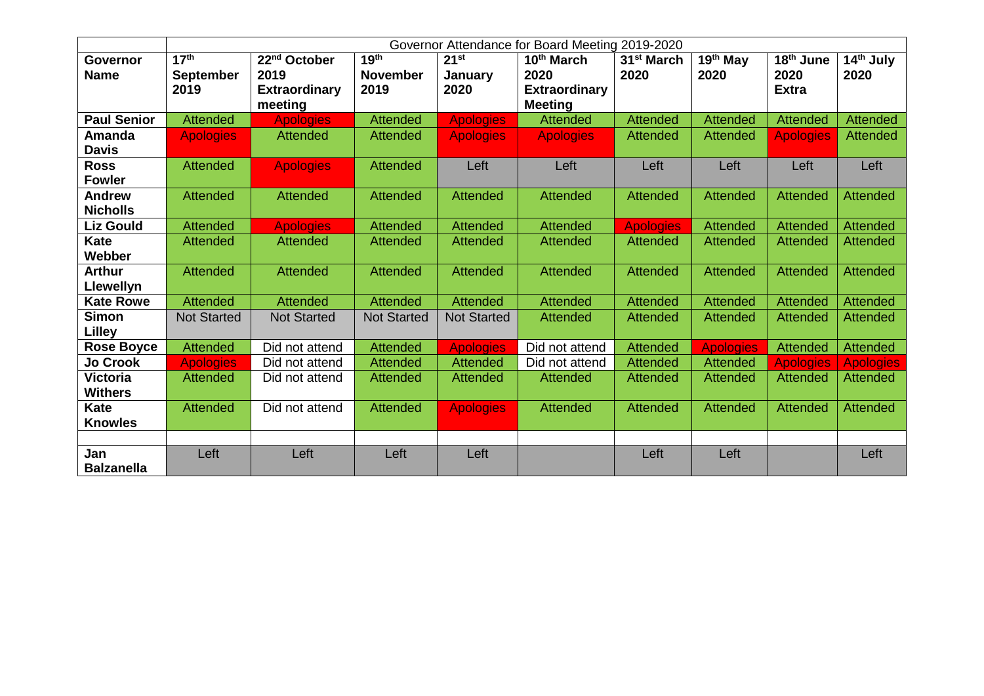|                    | Governor Attendance for Board Meeting 2019-2020 |                          |                    |                    |                      |                        |                  |                       |                  |
|--------------------|-------------------------------------------------|--------------------------|--------------------|--------------------|----------------------|------------------------|------------------|-----------------------|------------------|
| <b>Governor</b>    | 17 <sup>th</sup>                                | 22 <sup>nd</sup> October | 19 <sup>th</sup>   | 21 <sup>st</sup>   | 10th March           | 31 <sup>st</sup> March | $19th$ May       | 18 <sup>th</sup> June | $14th$ July      |
| <b>Name</b>        | <b>September</b>                                | 2019                     | <b>November</b>    | January            | 2020                 | 2020                   | 2020             | 2020                  | 2020             |
|                    | 2019                                            | <b>Extraordinary</b>     | 2019               | 2020               | <b>Extraordinary</b> |                        |                  | <b>Extra</b>          |                  |
|                    |                                                 | meeting                  |                    |                    | <b>Meeting</b>       |                        |                  |                       |                  |
| <b>Paul Senior</b> | <b>Attended</b>                                 | <b>Apologies</b>         | <b>Attended</b>    | <b>Apologies</b>   | <b>Attended</b>      | <b>Attended</b>        | <b>Attended</b>  | <b>Attended</b>       | <b>Attended</b>  |
| Amanda             | <b>Apologies</b>                                | <b>Attended</b>          | <b>Attended</b>    | <b>Apologies</b>   | <b>Apologies</b>     | <b>Attended</b>        | <b>Attended</b>  | <b>Apologies</b>      | <b>Attended</b>  |
| <b>Davis</b>       |                                                 |                          |                    |                    |                      |                        |                  |                       |                  |
| <b>Ross</b>        | <b>Attended</b>                                 | <b>Apologies</b>         | <b>Attended</b>    | Left               | Left                 | Left                   | Left             | Left                  | Left             |
| <b>Fowler</b>      |                                                 |                          |                    |                    |                      |                        |                  |                       |                  |
| <b>Andrew</b>      | <b>Attended</b>                                 | <b>Attended</b>          | <b>Attended</b>    | <b>Attended</b>    | <b>Attended</b>      | <b>Attended</b>        | <b>Attended</b>  | <b>Attended</b>       | <b>Attended</b>  |
| <b>Nicholls</b>    |                                                 |                          |                    |                    |                      |                        |                  |                       |                  |
| <b>Liz Gould</b>   | <b>Attended</b>                                 | <b>Apologies</b>         | <b>Attended</b>    | <b>Attended</b>    | <b>Attended</b>      | <b>Apologies</b>       | <b>Attended</b>  | <b>Attended</b>       | <b>Attended</b>  |
| <b>Kate</b>        | <b>Attended</b>                                 | <b>Attended</b>          | <b>Attended</b>    | <b>Attended</b>    | <b>Attended</b>      | <b>Attended</b>        | <b>Attended</b>  | Attended              | <b>Attended</b>  |
| Webber             |                                                 |                          |                    |                    |                      |                        |                  |                       |                  |
| <b>Arthur</b>      | <b>Attended</b>                                 | <b>Attended</b>          | <b>Attended</b>    | <b>Attended</b>    | <b>Attended</b>      | <b>Attended</b>        | <b>Attended</b>  | <b>Attended</b>       | <b>Attended</b>  |
| Llewellyn          |                                                 |                          |                    |                    |                      |                        |                  |                       |                  |
| <b>Kate Rowe</b>   | <b>Attended</b>                                 | <b>Attended</b>          | <b>Attended</b>    | <b>Attended</b>    | <b>Attended</b>      | <b>Attended</b>        | <b>Attended</b>  | <b>Attended</b>       | <b>Attended</b>  |
| <b>Simon</b>       | <b>Not Started</b>                              | <b>Not Started</b>       | <b>Not Started</b> | <b>Not Started</b> | <b>Attended</b>      | <b>Attended</b>        | <b>Attended</b>  | <b>Attended</b>       | <b>Attended</b>  |
| Lilley             |                                                 |                          |                    |                    |                      |                        |                  |                       |                  |
| <b>Rose Boyce</b>  | Attended                                        | Did not attend           | <b>Attended</b>    | <b>Apologies</b>   | Did not attend       | Attended               | <b>Apologies</b> | Attended              | <b>Attended</b>  |
| <b>Jo Crook</b>    | <b>Apologies</b>                                | Did not attend           | <b>Attended</b>    | <b>Attended</b>    | Did not attend       | <b>Attended</b>        | <b>Attended</b>  | <b>Apologies</b>      | <b>Apologies</b> |
| <b>Victoria</b>    | <b>Attended</b>                                 | Did not attend           | <b>Attended</b>    | <b>Attended</b>    | <b>Attended</b>      | <b>Attended</b>        | <b>Attended</b>  | <b>Attended</b>       | <b>Attended</b>  |
| <b>Withers</b>     |                                                 |                          |                    |                    |                      |                        |                  |                       |                  |
| <b>Kate</b>        | <b>Attended</b>                                 | Did not attend           | <b>Attended</b>    | <b>Apologies</b>   | <b>Attended</b>      | <b>Attended</b>        | <b>Attended</b>  | <b>Attended</b>       | Attended         |
| <b>Knowles</b>     |                                                 |                          |                    |                    |                      |                        |                  |                       |                  |
|                    |                                                 |                          |                    |                    |                      |                        |                  |                       |                  |
| Jan                | Left                                            | Left                     | Left               | Left               |                      | Left                   | Left             |                       | Left             |
| <b>Balzanella</b>  |                                                 |                          |                    |                    |                      |                        |                  |                       |                  |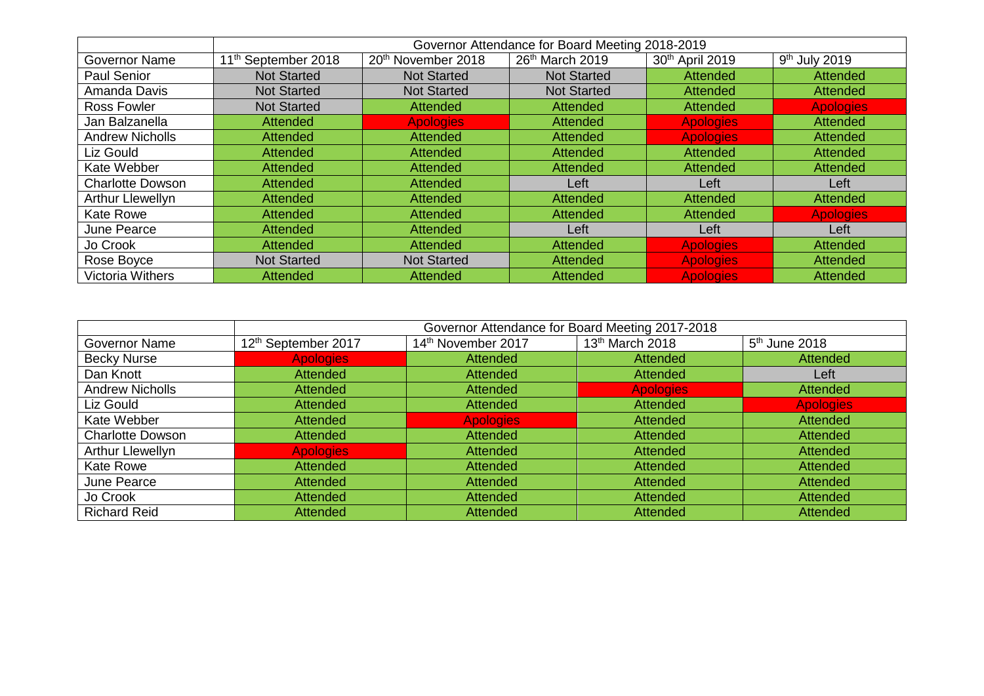|                         | Governor Attendance for Board Meeting 2018-2019 |                                |                    |                  |                           |  |  |
|-------------------------|-------------------------------------------------|--------------------------------|--------------------|------------------|---------------------------|--|--|
| <b>Governor Name</b>    | 11 <sup>th</sup> September 2018                 | 20 <sup>th</sup> November 2018 | 26th March 2019    | 30th April 2019  | 9 <sup>th</sup> July 2019 |  |  |
| Paul Senior             | <b>Not Started</b>                              | <b>Not Started</b>             | <b>Not Started</b> | <b>Attended</b>  | <b>Attended</b>           |  |  |
| Amanda Davis            | <b>Not Started</b>                              | <b>Not Started</b>             | <b>Not Started</b> | <b>Attended</b>  | <b>Attended</b>           |  |  |
| <b>Ross Fowler</b>      | <b>Not Started</b>                              | <b>Attended</b>                | <b>Attended</b>    | <b>Attended</b>  | <b>Apologies</b>          |  |  |
| Jan Balzanella          | <b>Attended</b>                                 | <b>Apologies</b>               | <b>Attended</b>    | <b>Apologies</b> | <b>Attended</b>           |  |  |
| <b>Andrew Nicholls</b>  | <b>Attended</b>                                 | <b>Attended</b>                | <b>Attended</b>    | <b>Apologies</b> | <b>Attended</b>           |  |  |
| Liz Gould               | <b>Attended</b>                                 | <b>Attended</b>                | <b>Attended</b>    | <b>Attended</b>  | <b>Attended</b>           |  |  |
| Kate Webber             | <b>Attended</b>                                 | <b>Attended</b>                | <b>Attended</b>    | <b>Attended</b>  | <b>Attended</b>           |  |  |
| <b>Charlotte Dowson</b> | <b>Attended</b>                                 | <b>Attended</b>                | Left               | Left             | Left                      |  |  |
| <b>Arthur Llewellyn</b> | <b>Attended</b>                                 | <b>Attended</b>                | <b>Attended</b>    | <b>Attended</b>  | <b>Attended</b>           |  |  |
| <b>Kate Rowe</b>        | <b>Attended</b>                                 | <b>Attended</b>                | <b>Attended</b>    | <b>Attended</b>  | <b>Apologies</b>          |  |  |
| June Pearce             | <b>Attended</b>                                 | <b>Attended</b>                | Left               | Left             | Left                      |  |  |
| Jo Crook                | <b>Attended</b>                                 | <b>Attended</b>                | <b>Attended</b>    | <b>Apologies</b> | <b>Attended</b>           |  |  |
| Rose Boyce              | <b>Not Started</b>                              | <b>Not Started</b>             | Attended           | <b>Apologies</b> | Attended                  |  |  |
| <b>Victoria Withers</b> | <b>Attended</b>                                 | <b>Attended</b>                | <b>Attended</b>    | <b>Apologies</b> | <b>Attended</b>           |  |  |

|                         | Governor Attendance for Board Meeting 2017-2018 |                    |                             |                  |  |  |  |
|-------------------------|-------------------------------------------------|--------------------|-----------------------------|------------------|--|--|--|
| Governor Name           | 12 <sup>th</sup> September 2017                 | 14th November 2017 | 13 <sup>th</sup> March 2018 | $5th$ June 2018  |  |  |  |
| <b>Becky Nurse</b>      | <b>Apologies</b>                                | <b>Attended</b>    | <b>Attended</b>             | <b>Attended</b>  |  |  |  |
| Dan Knott               | <b>Attended</b>                                 | <b>Attended</b>    | Attended                    | Left             |  |  |  |
| <b>Andrew Nicholls</b>  | <b>Attended</b>                                 | <b>Attended</b>    | <b>Apologies</b>            | Attended         |  |  |  |
| Liz Gould               | <b>Attended</b>                                 | <b>Attended</b>    | <b>Attended</b>             | <b>Apologies</b> |  |  |  |
| Kate Webber             | <b>Attended</b>                                 | <b>Apologies</b>   | <b>Attended</b>             | <b>Attended</b>  |  |  |  |
| <b>Charlotte Dowson</b> | Attended                                        | <b>Attended</b>    | <b>Attended</b>             | <b>Attended</b>  |  |  |  |
| <b>Arthur Llewellyn</b> | <b>Apologies</b>                                | <b>Attended</b>    | <b>Attended</b>             | <b>Attended</b>  |  |  |  |
| Kate Rowe               | <b>Attended</b>                                 | <b>Attended</b>    | <b>Attended</b>             | <b>Attended</b>  |  |  |  |
| June Pearce             | Attended                                        | <b>Attended</b>    | <b>Attended</b>             | <b>Attended</b>  |  |  |  |
| Jo Crook                | <b>Attended</b>                                 | <b>Attended</b>    | Attended                    | <b>Attended</b>  |  |  |  |
| <b>Richard Reid</b>     | <b>Attended</b>                                 | <b>Attended</b>    | <b>Attended</b>             | <b>Attended</b>  |  |  |  |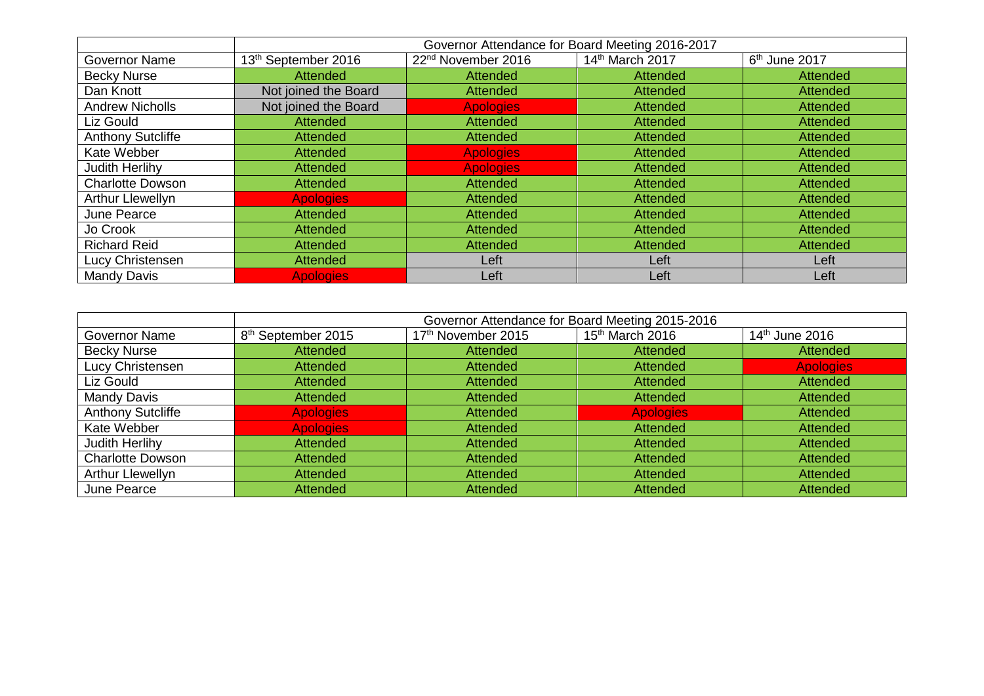|                          | Governor Attendance for Board Meeting 2016-2017 |                                |                 |                 |  |  |
|--------------------------|-------------------------------------------------|--------------------------------|-----------------|-----------------|--|--|
| Governor Name            | 13 <sup>th</sup> September 2016                 | 22 <sup>nd</sup> November 2016 | 14th March 2017 | $6th$ June 2017 |  |  |
| <b>Becky Nurse</b>       | Attended                                        | <b>Attended</b>                | <b>Attended</b> | Attended        |  |  |
| Dan Knott                | Not joined the Board                            | <b>Attended</b>                | <b>Attended</b> | Attended        |  |  |
| <b>Andrew Nicholls</b>   | Not joined the Board                            | <b>Apologies</b>               | <b>Attended</b> | Attended        |  |  |
| Liz Gould                | Attended                                        | <b>Attended</b>                | <b>Attended</b> | Attended        |  |  |
| <b>Anthony Sutcliffe</b> | <b>Attended</b>                                 | <b>Attended</b>                | <b>Attended</b> | Attended        |  |  |
| Kate Webber              | <b>Attended</b>                                 | <b>Apologies</b>               | <b>Attended</b> | Attended        |  |  |
| <b>Judith Herlihy</b>    | <b>Attended</b>                                 | <b>Apologies</b>               | <b>Attended</b> | <b>Attended</b> |  |  |
| <b>Charlotte Dowson</b>  | <b>Attended</b>                                 | <b>Attended</b>                | <b>Attended</b> | Attended        |  |  |
| Arthur Llewellyn         | <b>Apologies</b>                                | Attended                       | <b>Attended</b> | Attended        |  |  |
| June Pearce              | <b>Attended</b>                                 | <b>Attended</b>                | Attended        | Attended        |  |  |
| Jo Crook                 | <b>Attended</b>                                 | Attended                       | Attended        | <b>Attended</b> |  |  |
| <b>Richard Reid</b>      | <b>Attended</b>                                 | Attended                       | <b>Attended</b> | Attended        |  |  |
| Lucy Christensen         | <b>Attended</b>                                 | Left                           | Left            | Left            |  |  |
| <b>Mandy Davis</b>       | <b>Apologies</b>                                | Left                           | Left            | Left            |  |  |

|                          | Governor Attendance for Board Meeting 2015-2016 |                    |                             |                            |  |  |  |
|--------------------------|-------------------------------------------------|--------------------|-----------------------------|----------------------------|--|--|--|
| Governor Name            | 8 <sup>th</sup> September 2015                  | 17th November 2015 | 15 <sup>th</sup> March 2016 | 14 <sup>th</sup> June 2016 |  |  |  |
| <b>Becky Nurse</b>       | <b>Attended</b>                                 | <b>Attended</b>    | Attended                    | Attended                   |  |  |  |
| Lucy Christensen         | <b>Attended</b>                                 | <b>Attended</b>    | Attended                    | <b>Apologies</b>           |  |  |  |
| Liz Gould                | <b>Attended</b>                                 | <b>Attended</b>    | Attended                    | Attended                   |  |  |  |
| <b>Mandy Davis</b>       | <b>Attended</b>                                 | <b>Attended</b>    | Attended                    | <b>Attended</b>            |  |  |  |
| <b>Anthony Sutcliffe</b> | <b>Apologies</b>                                | <b>Attended</b>    | <b>Apologies</b>            | <b>Attended</b>            |  |  |  |
| Kate Webber              | <b>Apologies</b>                                | <b>Attended</b>    | Attended                    | <b>Attended</b>            |  |  |  |
| Judith Herlihy           | <b>Attended</b>                                 | <b>Attended</b>    | Attended                    | Attended                   |  |  |  |
| <b>Charlotte Dowson</b>  | <b>Attended</b>                                 | <b>Attended</b>    | <b>Attended</b>             | Attended                   |  |  |  |
| Arthur Llewellyn         | <b>Attended</b>                                 | <b>Attended</b>    | Attended                    | Attended                   |  |  |  |
| June Pearce              | <b>Attended</b>                                 | <b>Attended</b>    | <b>Attended</b>             | <b>Attended</b>            |  |  |  |